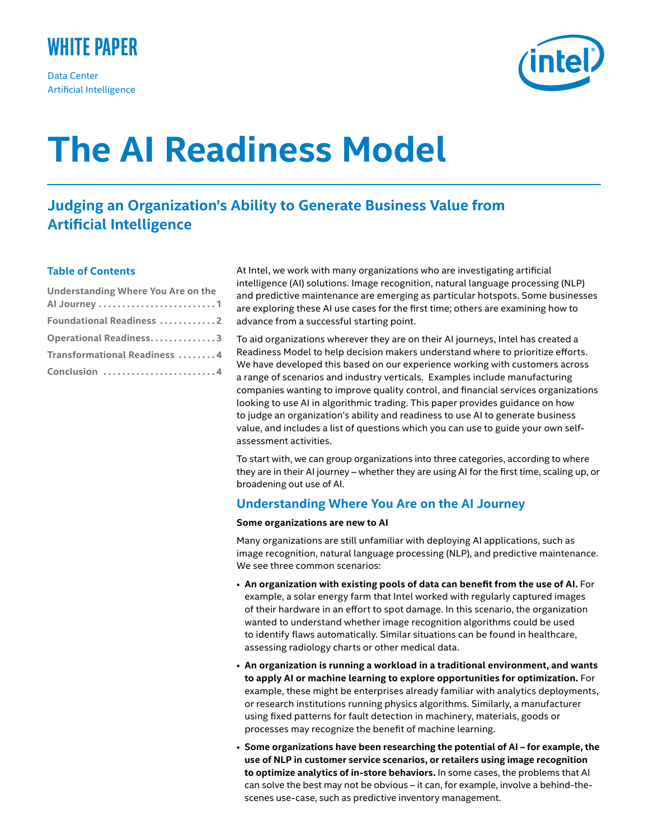

Data Center Artificial Intelligence



# **The AI Readiness Model**

## **Judging an Organization's Ability to Generate Business Value from Artificial Intelligence**

### **Table of Contents**

| Understanding Where You Are on the |
|------------------------------------|
|                                    |
| <b>Foundational Readiness 2</b>    |
| Operational Readiness3             |
| Transformational Readiness  4      |
| Conclusion 4                       |

At Intel, we work with many organizations who are investigating artificial intelligence (AI) solutions. Image recognition, natural language processing (NLP) and predictive maintenance are emerging as particular hotspots. Some businesses are exploring these AI use cases for the first time; others are examining how to advance from a successful starting point.

To aid organizations wherever they are on their AI journeys, Intel has created a Readiness Model to help decision makers understand where to prioritize efforts. We have developed this based on our experience working with customers across a range of scenarios and industry verticals. Examples include manufacturing companies wanting to improve quality control, and financial services organizations looking to use AI in algorithmic trading. This paper provides guidance on how to judge an organization's ability and readiness to use AI to generate business value, and includes a list of questions which you can use to guide your own selfassessment activities.

To start with, we can group organizations into three categories, according to where they are in their AI journey – whether they are using AI for the first time, scaling up, or broadening out use of AI.

## **Understanding Where You Are on the AI Journey**

#### **Some organizations are new to AI**

Many organizations are still unfamiliar with deploying AI applications, such as image recognition, natural language processing (NLP), and predictive maintenance. We see three common scenarios:

- **An organization with existing pools of data can benefit from the use of AI.** For example, a solar energy farm that Intel worked with regularly captured images of their hardware in an effort to spot damage. In this scenario, the organization wanted to understand whether image recognition algorithms could be used to identify flaws automatically. Similar situations can be found in healthcare, assessing radiology charts or other medical data.
- **An organization is running a workload in a traditional environment, and wants to apply AI or machine learning to explore opportunities for optimization.** For example, these might be enterprises already familiar with analytics deployments, or research institutions running physics algorithms. Similarly, a manufacturer using fixed patterns for fault detection in machinery, materials, goods or processes may recognize the benefit of machine learning.
- **Some organizations have been researching the potential of AI for example, the use of NLP in customer service scenarios, or retailers using image recognition to optimize analytics of in-store behaviors.** In some cases, the problems that AI can solve the best may not be obvious – it can, for example, involve a behind-thescenes use-case, such as predictive inventory management.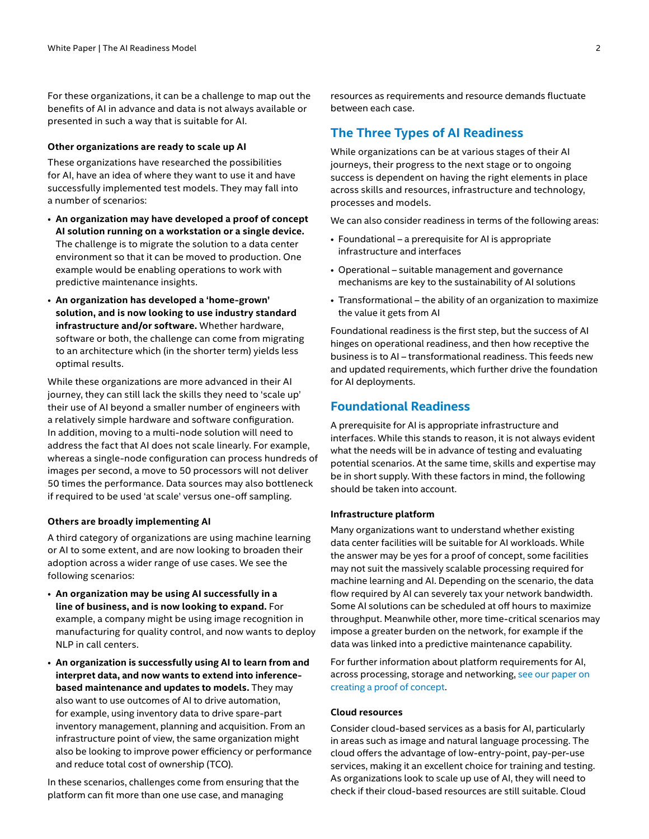For these organizations, it can be a challenge to map out the benefits of AI in advance and data is not always available or presented in such a way that is suitable for AI.

#### **Other organizations are ready to scale up AI**

These organizations have researched the possibilities for AI, have an idea of where they want to use it and have successfully implemented test models. They may fall into a number of scenarios:

- **An organization may have developed a proof of concept AI solution running on a workstation or a single device.**  The challenge is to migrate the solution to a data center environment so that it can be moved to production. One example would be enabling operations to work with predictive maintenance insights.
- **An organization has developed a 'home-grown' solution, and is now looking to use industry standard infrastructure and/or software.** Whether hardware, software or both, the challenge can come from migrating to an architecture which (in the shorter term) yields less optimal results.

While these organizations are more advanced in their AI journey, they can still lack the skills they need to 'scale up' their use of AI beyond a smaller number of engineers with a relatively simple hardware and software configuration. In addition, moving to a multi-node solution will need to address the fact that AI does not scale linearly. For example, whereas a single-node configuration can process hundreds of images per second, a move to 50 processors will not deliver 50 times the performance. Data sources may also bottleneck if required to be used 'at scale' versus one-off sampling.

#### **Others are broadly implementing AI**

A third category of organizations are using machine learning or AI to some extent, and are now looking to broaden their adoption across a wider range of use cases. We see the following scenarios:

- **An organization may be using AI successfully in a line of business, and is now looking to expand.** For example, a company might be using image recognition in manufacturing for quality control, and now wants to deploy NLP in call centers.
- **An organization is successfully using AI to learn from and interpret data, and now wants to extend into inferencebased maintenance and updates to models.** They may also want to use outcomes of AI to drive automation, for example, using inventory data to drive spare-part inventory management, planning and acquisition. From an infrastructure point of view, the same organization might also be looking to improve power efficiency or performance and reduce total cost of ownership (TCO).

In these scenarios, challenges come from ensuring that the platform can fit more than one use case, and managing

resources as requirements and resource demands fluctuate between each case.

## **The Three Types of AI Readiness**

While organizations can be at various stages of their AI journeys, their progress to the next stage or to ongoing success is dependent on having the right elements in place across skills and resources, infrastructure and technology, processes and models.

We can also consider readiness in terms of the following areas:

- Foundational a prerequisite for AI is appropriate infrastructure and interfaces
- Operational suitable management and governance mechanisms are key to the sustainability of AI solutions
- Transformational the ability of an organization to maximize the value it gets from AI

Foundational readiness is the first step, but the success of AI hinges on operational readiness, and then how receptive the business is to AI – transformational readiness. This feeds new and updated requirements, which further drive the foundation for AI deployments.

## **Foundational Readiness**

A prerequisite for AI is appropriate infrastructure and interfaces. While this stands to reason, it is not always evident what the needs will be in advance of testing and evaluating potential scenarios. At the same time, skills and expertise may be in short supply. With these factors in mind, the following should be taken into account.

#### **Infrastructure platform**

Many organizations want to understand whether existing data center facilities will be suitable for AI workloads. While the answer may be yes for a proof of concept, some facilities may not suit the massively scalable processing required for machine learning and AI. Depending on the scenario, the data flow required by AI can severely tax your network bandwidth. Some AI solutions can be scheduled at off hours to maximize throughput. Meanwhile other, more time-critical scenarios may impose a greater burden on the network, for example if the data was linked into a predictive maintenance capability.

For further information about platform requirements for AI, across processing, storage and networking, see our paper on [creating a proof of concept.](https://www.intel.com/content/www/us/en/analytics/artificial-intelligence/ai-proof-of-concept-for-enterprise-applications.html) 

#### **Cloud resources**

Consider cloud-based services as a basis for AI, particularly in areas such as image and natural language processing. The cloud offers the advantage of low-entry-point, pay-per-use services, making it an excellent choice for training and testing. As organizations look to scale up use of AI, they will need to check if their cloud-based resources are still suitable. Cloud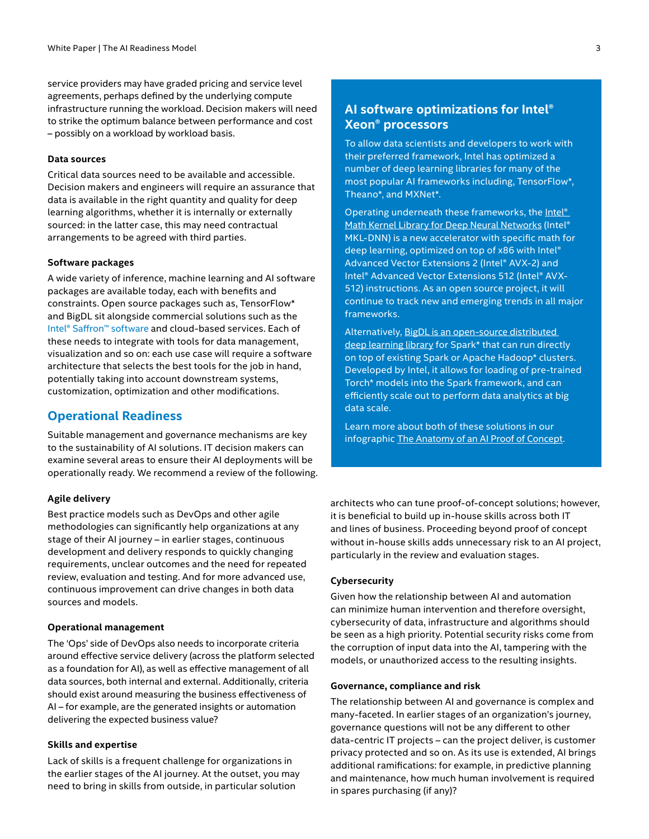service providers may have graded pricing and service level agreements, perhaps defined by the underlying compute infrastructure running the workload. Decision makers will need to strike the optimum balance between performance and cost – possibly on a workload by workload basis.

#### **Data sources**

Critical data sources need to be available and accessible. Decision makers and engineers will require an assurance that data is available in the right quantity and quality for deep learning algorithms, whether it is internally or externally sourced: in the latter case, this may need contractual arrangements to be agreed with third parties.

#### **Software packages**

A wide variety of inference, machine learning and AI software packages are available today, each with benefits and constraints. Open source packages such as, TensorFlow\* and BigDL sit alongside commercial solutions such as the [Intel® Saffron™ software](https://saffrontech.com/) and cloud-based services. Each of these needs to integrate with tools for data management, visualization and so on: each use case will require a software architecture that selects the best tools for the job in hand, potentially taking into account downstream systems, customization, optimization and other modifications.

#### **Operational Readiness**

Suitable management and governance mechanisms are key to the sustainability of AI solutions. IT decision makers can examine several areas to ensure their AI deployments will be operationally ready. We recommend a review of the following.

#### **Agile delivery**

Best practice models such as DevOps and other agile methodologies can significantly help organizations at any stage of their AI journey – in earlier stages, continuous development and delivery responds to quickly changing requirements, unclear outcomes and the need for repeated review, evaluation and testing. And for more advanced use, continuous improvement can drive changes in both data sources and models.

#### **Operational management**

The 'Ops' side of DevOps also needs to incorporate criteria around effective service delivery (across the platform selected as a foundation for AI), as well as effective management of all data sources, both internal and external. Additionally, criteria should exist around measuring the business effectiveness of AI – for example, are the generated insights or automation delivering the expected business value?

#### **Skills and expertise**

Lack of skills is a frequent challenge for organizations in the earlier stages of the AI journey. At the outset, you may need to bring in skills from outside, in particular solution

## **AI software optimizations for Intel® Xeon® processors**

To allow data scientists and developers to work with their preferred framework, Intel has optimized a number of deep learning libraries for many of the most popular AI frameworks including, TensorFlow\*, Theano\*, and MXNet\*.

Operating underneath these frameworks, the [Intel®](https://software.intel.com/en-us/mkl)  [Math Kernel Library for Deep Neural Networks](https://software.intel.com/en-us/mkl) (Intel® MKL-DNN) is a new accelerator with specific math for deep learning, optimized on top of x86 with Intel® Advanced Vector Extensions 2 (Intel® AVX-2) and Intel® Advanced Vector Extensions 512 (Intel® AVX-512) instructions. As an open source project, it will continue to track new and emerging trends in all major frameworks.

Alternatively, [BigDL is an open-source distributed](https://software.intel.com/en-us/articles/bigdl-distributed-deep-learning-on-apache-spark)  [deep learning library](https://software.intel.com/en-us/articles/bigdl-distributed-deep-learning-on-apache-spark) for Spark\* that can run directly on top of existing Spark or Apache Hadoop\* clusters. Developed by Intel, it allows for loading of pre-trained Torch\* models into the Spark framework, and can efficiently scale out to perform data analytics at big data scale.

Learn more about both of these solutions in our infographic [The Anatomy of an AI Proof of Concept](https://www.intel.com/content/www/us/en/analytics/artificial-intelligence/ai-proof-of-concept-infographic.html).

architects who can tune proof-of-concept solutions; however, it is beneficial to build up in-house skills across both IT and lines of business. Proceeding beyond proof of concept without in-house skills adds unnecessary risk to an AI project, particularly in the review and evaluation stages.

#### **Cybersecurity**

Given how the relationship between AI and automation can minimize human intervention and therefore oversight, cybersecurity of data, infrastructure and algorithms should be seen as a high priority. Potential security risks come from the corruption of input data into the AI, tampering with the models, or unauthorized access to the resulting insights.

#### **Governance, compliance and risk**

The relationship between AI and governance is complex and many-faceted. In earlier stages of an organization's journey, governance questions will not be any different to other data-centric IT projects – can the project deliver, is customer privacy protected and so on. As its use is extended, AI brings additional ramifications: for example, in predictive planning and maintenance, how much human involvement is required in spares purchasing (if any)?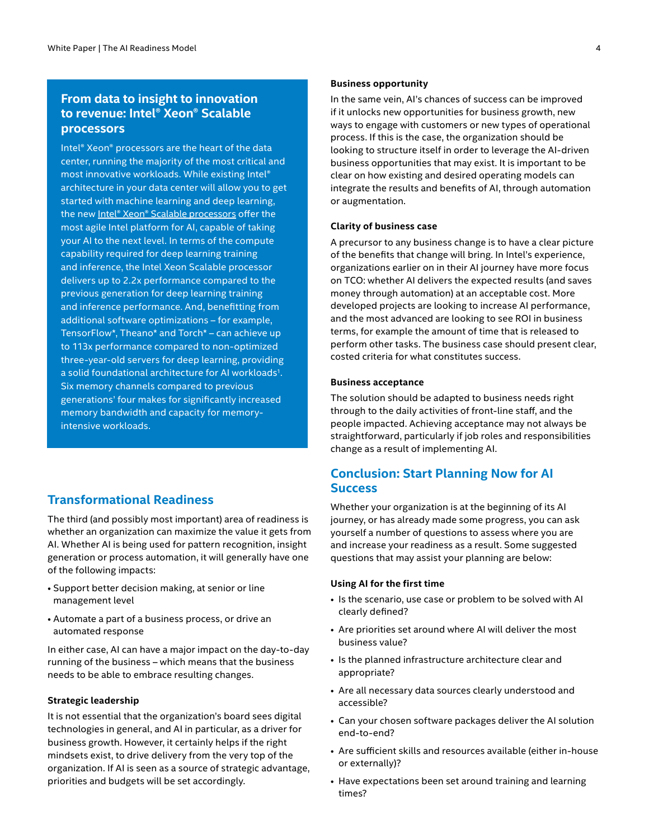## **From data to insight to innovation to revenue: Intel® Xeon® Scalable processors**

Intel® Xeon® processors are the heart of the data center, running the majority of the most critical and most innovative workloads. While existing Intel® architecture in your data center will allow you to get started with machine learning and deep learning, the new Intel® Xeon[® Scalable processors](https://www.intel.co.uk/content/www/uk/en/processors/xeon/scalable/xeon-scalable-platform.html) offer the most agile Intel platform for AI, capable of taking your AI to the next level. In terms of the compute capability required for deep learning training and inference, the Intel Xeon Scalable processor delivers up to 2.2x performance compared to the previous generation for deep learning training and inference performance. And, benefitting from additional software optimizations – for example, TensorFlow\*, Theano\* and Torch\* – can achieve up to 113x performance compared to non-optimized three-year-old servers for deep learning, providing a solid foundational architecture for AI workloads<sup>1</sup>. Six memory channels compared to previous generations' four makes for significantly increased memory bandwidth and capacity for memoryintensive workloads.

## **Transformational Readiness**

The third (and possibly most important) area of readiness is whether an organization can maximize the value it gets from AI. Whether AI is being used for pattern recognition, insight generation or process automation, it will generally have one of the following impacts:

- Support better decision making, at senior or line management level
- Automate a part of a business process, or drive an automated response

In either case, AI can have a major impact on the day-to-day running of the business – which means that the business needs to be able to embrace resulting changes.

#### **Strategic leadership**

It is not essential that the organization's board sees digital technologies in general, and AI in particular, as a driver for business growth. However, it certainly helps if the right mindsets exist, to drive delivery from the very top of the organization. If AI is seen as a source of strategic advantage, priorities and budgets will be set accordingly.

#### **Business opportunity**

In the same vein, AI's chances of success can be improved if it unlocks new opportunities for business growth, new ways to engage with customers or new types of operational process. If this is the case, the organization should be looking to structure itself in order to leverage the AI-driven business opportunities that may exist. It is important to be clear on how existing and desired operating models can integrate the results and benefits of AI, through automation or augmentation.

#### **Clarity of business case**

A precursor to any business change is to have a clear picture of the benefits that change will bring. In Intel's experience, organizations earlier on in their AI journey have more focus on TCO: whether AI delivers the expected results (and saves money through automation) at an acceptable cost. More developed projects are looking to increase AI performance, and the most advanced are looking to see ROI in business terms, for example the amount of time that is released to perform other tasks. The business case should present clear, costed criteria for what constitutes success.

#### **Business acceptance**

The solution should be adapted to business needs right through to the daily activities of front-line staff, and the people impacted. Achieving acceptance may not always be straightforward, particularly if job roles and responsibilities change as a result of implementing AI.

## **Conclusion: Start Planning Now for AI Success**

Whether your organization is at the beginning of its AI journey, or has already made some progress, you can ask yourself a number of questions to assess where you are and increase your readiness as a result. Some suggested questions that may assist your planning are below:

#### **Using AI for the first time**

- Is the scenario, use case or problem to be solved with AI clearly defined?
- Are priorities set around where AI will deliver the most business value?
- Is the planned infrastructure architecture clear and appropriate?
- Are all necessary data sources clearly understood and accessible?
- Can your chosen software packages deliver the AI solution end-to-end?
- Are sufficient skills and resources available (either in-house or externally)?
- Have expectations been set around training and learning times?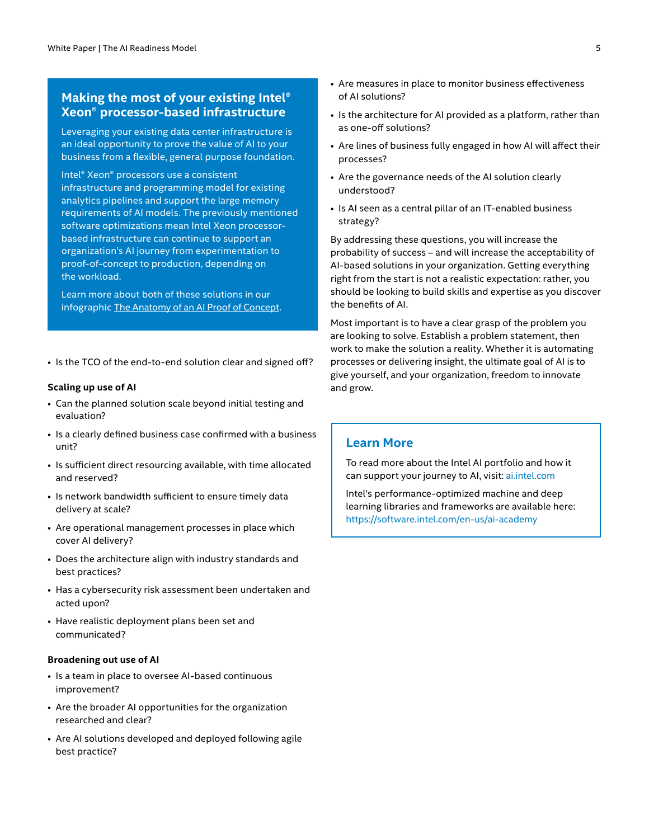## **Making the most of your existing Intel® Xeon® processor-based infrastructure**

Leveraging your existing data center infrastructure is an ideal opportunity to prove the value of AI to your business from a flexible, general purpose foundation.

Intel® Xeon® processors use a consistent infrastructure and programming model for existing analytics pipelines and support the large memory requirements of AI models. The previously mentioned software optimizations mean Intel Xeon processorbased infrastructure can continue to support an organization's AI journey from experimentation to proof-of-concept to production, depending on the workload.

Learn more about both of these solutions in our infographic [The Anatomy of an AI Proof of Concept.](https://www.intel.com/content/www/us/en/analytics/artificial-intelligence/ai-proof-of-concept-infographic.html)

• Is the TCO of the end-to-end solution clear and signed off?

#### **Scaling up use of AI**

- Can the planned solution scale beyond initial testing and evaluation?
- Is a clearly defined business case confirmed with a business unit?
- Is sufficient direct resourcing available, with time allocated and reserved?
- Is network bandwidth sufficient to ensure timely data delivery at scale?
- Are operational management processes in place which cover AI delivery?
- Does the architecture align with industry standards and best practices?
- Has a cybersecurity risk assessment been undertaken and acted upon?
- Have realistic deployment plans been set and communicated?

#### **Broadening out use of AI**

- Is a team in place to oversee AI-based continuous improvement?
- Are the broader AI opportunities for the organization researched and clear?
- Are AI solutions developed and deployed following agile best practice?
- Are measures in place to monitor business effectiveness of AI solutions?
- Is the architecture for AI provided as a platform, rather than as one-off solutions?
- Are lines of business fully engaged in how AI will affect their processes?
- Are the governance needs of the AI solution clearly understood?
- Is AI seen as a central pillar of an IT-enabled business strategy?

By addressing these questions, you will increase the probability of success – and will increase the acceptability of AI-based solutions in your organization. Getting everything right from the start is not a realistic expectation: rather, you should be looking to build skills and expertise as you discover the benefits of AI.

Most important is to have a clear grasp of the problem you are looking to solve. Establish a problem statement, then work to make the solution a reality. Whether it is automating processes or delivering insight, the ultimate goal of AI is to give yourself, and your organization, freedom to innovate and grow.

## **Learn More**

To read more about the Intel AI portfolio and how it can support your journey to AI, visit: [ai.intel.com](https://ai.intel.com/)

Intel's performance-optimized machine and deep learning libraries and frameworks are available here: <https://software.intel.com/en-us/ai-academy>